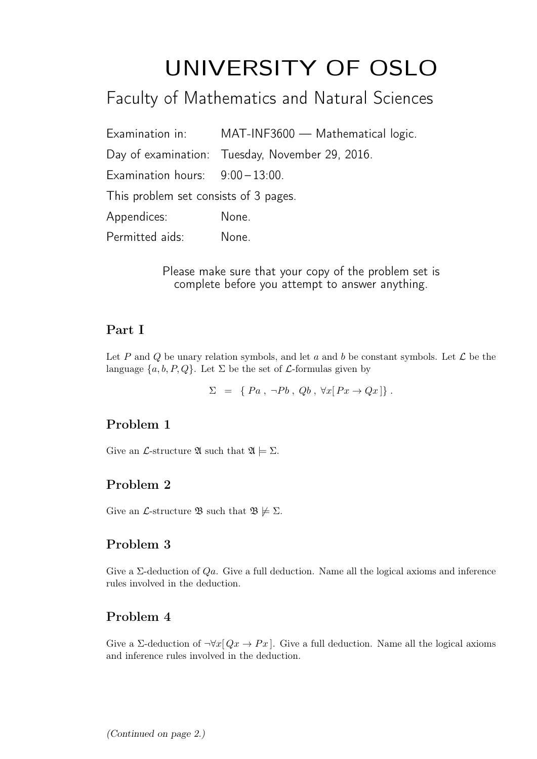# UNIVERSITY OF OSLO

# Faculty of Mathematics and Natural Sciences

|                                       | Examination in: MAT-INF3600 - Mathematical logic. |
|---------------------------------------|---------------------------------------------------|
|                                       | Day of examination: Tuesday, November 29, 2016.   |
| Examination hours: $9:00-13:00$ .     |                                                   |
| This problem set consists of 3 pages. |                                                   |
| Appendices:                           | None.                                             |
| Permitted aids:                       | None.                                             |

Please make sure that your copy of the problem set is complete before you attempt to answer anything.

## Part I

Let P and Q be unary relation symbols, and let a and b be constant symbols. Let  $\mathcal L$  be the language  $\{a, b, P, Q\}$ . Let  $\Sigma$  be the set of  $\mathcal L$ -formulas given by

 $\Sigma = \{ Pa, \neg Pb, Qb, \forall x [ Px \rightarrow Qx ] \}.$ 

# Problem 1

Give an *L*-structure  $\mathfrak{A}$  such that  $\mathfrak{A} \models \Sigma$ .

# Problem 2

Give an *L*-structure **B** such that  $\mathfrak{B} \not\models \Sigma$ .

## Problem 3

Give a  $\Sigma$ -deduction of  $Qa$ . Give a full deduction. Name all the logical axioms and inference rules involved in the deduction.

# Problem 4

Give a Σ-deduction of  $\neg \forall x [Qx \rightarrow Px]$ . Give a full deduction. Name all the logical axioms and inference rules involved in the deduction.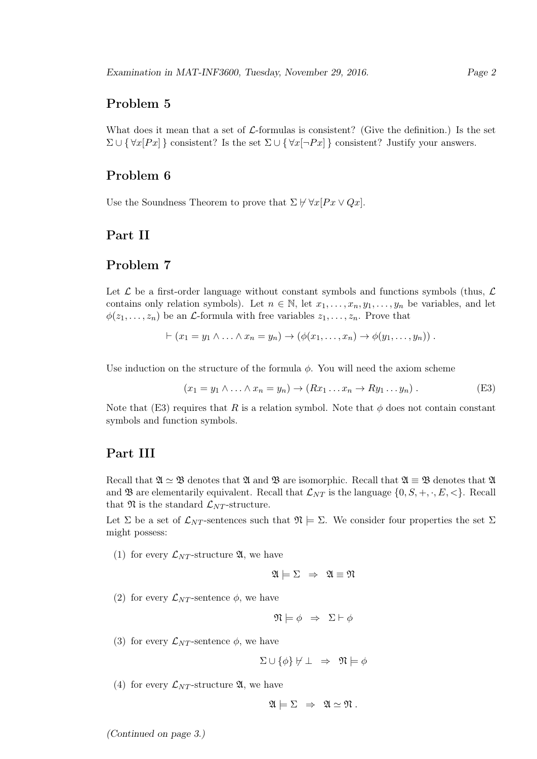#### Problem 5

What does it mean that a set of  $\mathcal L$ -formulas is consistent? (Give the definition.) Is the set  $\Sigma \cup {\forall x [Px]}$  consistent? Is the set  $\Sigma \cup {\forall x [\neg Px]}$  consistent? Justify your answers.

#### Problem 6

Use the Soundness Theorem to prove that  $\Sigma \not\vdash \forall x [Px \lor Qx].$ 

#### Part II

#### Problem 7

Let  $\mathcal L$  be a first-order language without constant symbols and functions symbols (thus,  $\mathcal L$ contains only relation symbols). Let  $n \in \mathbb{N}$ , let  $x_1, \ldots, x_n, y_1, \ldots, y_n$  be variables, and let  $\phi(z_1, \ldots, z_n)$  be an *L*-formula with free variables  $z_1, \ldots, z_n$ . Prove that

$$
\vdash (x_1 = y_1 \land \ldots \land x_n = y_n) \rightarrow (\phi(x_1, \ldots, x_n) \rightarrow \phi(y_1, \ldots, y_n))
$$

Use induction on the structure of the formula  $\phi$ . You will need the axiom scheme

$$
(x_1 = y_1 \land \dots \land x_n = y_n) \to (Rx_1 \dots x_n \to Ry_1 \dots y_n).
$$
 (E3)

Note that (E3) requires that R is a relation symbol. Note that  $\phi$  does not contain constant symbols and function symbols.

#### Part III

Recall that  $\mathfrak{A} \simeq \mathfrak{B}$  denotes that  $\mathfrak{A}$  and  $\mathfrak{B}$  are isomorphic. Recall that  $\mathfrak{A} \equiv \mathfrak{B}$  denotes that  $\mathfrak{A}$ and **B** are elementarily equivalent. Recall that  $\mathcal{L}_{NT}$  is the language  $\{0, S, +, \cdot, E, <\}$ . Recall that  $\mathfrak{N}$  is the standard  $\mathcal{L}_{NT}$ -structure.

Let  $\Sigma$  be a set of  $\mathcal{L}_{NT}$ -sentences such that  $\mathfrak{N} \models \Sigma$ . We consider four properties the set  $\Sigma$ might possess:

(1) for every  $\mathcal{L}_{NT}$ -structure  $\mathfrak{A}$ , we have

$$
\mathfrak{A} \models \Sigma \;\; \Rightarrow \;\; \mathfrak{A} \equiv \mathfrak{N}
$$

(2) for every  $\mathcal{L}_{NT}$ -sentence  $\phi$ , we have

$$
\mathfrak{N} \models \phi \;\Rightarrow\; \Sigma \vdash \phi
$$

(3) for every  $\mathcal{L}_{NT}$ -sentence  $\phi$ , we have

$$
\Sigma \cup \{\phi\} \not\vdash \bot \Rightarrow \mathfrak{N} \models \phi
$$

(4) for every  $\mathcal{L}_{NT}$ -structure  $\mathfrak{A}$ , we have

$$
\mathfrak{A} \models \Sigma \Rightarrow \mathfrak{A} \simeq \mathfrak{N}.
$$

(Continued on page 3.)